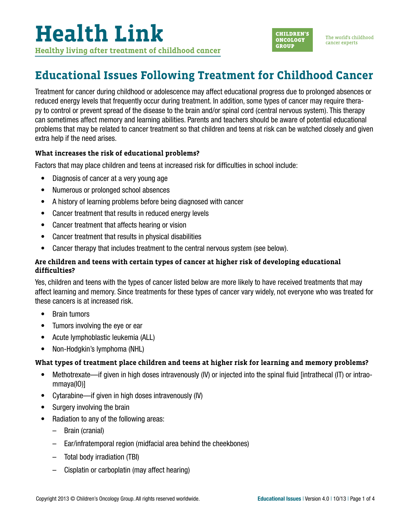# **Health Link Healthy living after treatment of childhood cancer**



### **Educational Issues Following Treatment for Childhood Cancer**

Treatment for cancer during childhood or adolescence may affect educational progress due to prolonged absences or reduced energy levels that frequently occur during treatment. In addition, some types of cancer may require therapy to control or prevent spread of the disease to the brain and/or spinal cord (central nervous system). This therapy can sometimes affect memory and learning abilities. Parents and teachers should be aware of potential educational problems that may be related to cancer treatment so that children and teens at risk can be watched closely and given extra help if the need arises.

### **What increases the risk of educational problems?**

Factors that may place children and teens at increased risk for difficulties in school include:

- Diagnosis of cancer at a very young age
- Numerous or prolonged school absences
- A history of learning problems before being diagnosed with cancer
- Cancer treatment that results in reduced energy levels
- Cancer treatment that affects hearing or vision
- Cancer treatment that results in physical disabilities
- Cancer therapy that includes treatment to the central nervous system (see below).

### **Are children and teens with certain types of cancer at higher risk of developing educational difficulties?**

Yes, children and teens with the types of cancer listed below are more likely to have received treatments that may affect learning and memory. Since treatments for these types of cancer vary widely, not everyone who was treated for these cancers is at increased risk.

- Brain tumors
- Tumors involving the eye or ear
- Acute lymphoblastic leukemia (ALL)
- Non-Hodgkin's lymphoma (NHL)

### **What types of treatment place children and teens at higher risk for learning and memory problems?**

- Methotrexate—if given in high doses intravenously (IV) or injected into the spinal fluid [intrathecal (IT) or intraommaya(IO)]
- Cytarabine—if given in high doses intravenously (IV)
- Surgery involving the brain
- Radiation to any of the following areas:
	- Brain (cranial)
	- Ear/infratemporal region (midfacial area behind the cheekbones)
	- Total body irradiation (TBI)
	- Cisplatin or carboplatin (may affect hearing)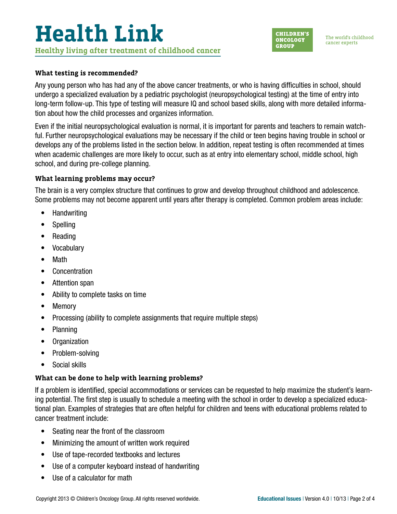### **Health Link Healthy living after treatment of childhood cancer**



The world's childhood cancer experts

#### **What testing is recommended?**

Any young person who has had any of the above cancer treatments, or who is having difficulties in school, should undergo a specialized evaluation by a pediatric psychologist (neuropsychological testing) at the time of entry into long-term follow-up. This type of testing will measure IQ and school based skills, along with more detailed information about how the child processes and organizes information.

Even if the initial neuropsychological evaluation is normal, it is important for parents and teachers to remain watchful. Further neuropsychological evaluations may be necessary if the child or teen begins having trouble in school or develops any of the problems listed in the section below. In addition, repeat testing is often recommended at times when academic challenges are more likely to occur, such as at entry into elementary school, middle school, high school, and during pre-college planning.

### **What learning problems may occur?**

The brain is a very complex structure that continues to grow and develop throughout childhood and adolescence. Some problems may not become apparent until years after therapy is completed. Common problem areas include:

- Handwriting
- Spelling
- Reading
- Vocabulary
- Math
- Concentration
- Attention span
- Ability to complete tasks on time
- Memory
- Processing (ability to complete assignments that require multiple steps)
- Planning
- Organization
- Problem-solving
- Social skills

### **What can be done to help with learning problems?**

If a problem is identified, special accommodations or services can be requested to help maximize the student's learning potential. The first step is usually to schedule a meeting with the school in order to develop a specialized educational plan. Examples of strategies that are often helpful for children and teens with educational problems related to cancer treatment include:

- Seating near the front of the classroom
- Minimizing the amount of written work required
- Use of tape-recorded textbooks and lectures
- Use of a computer keyboard instead of handwriting
- Use of a calculator for math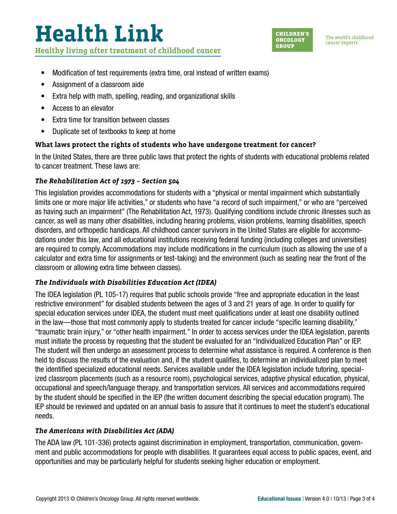# **Health Link Healthy living after treatment of childhood cancer**



The world's childhood cancer experts

- Modification of test requirements (extra time, oral instead of written exams)
- Assignment of a classroom aide
- Extra help with math, spelling, reading, and organizational skills
- Access to an elevator
- Extra time for transition between classes
- Duplicate set of textbooks to keep at home

### **What laws protect the rights of students who have undergone treatment for cancer?**

In the United States, there are three public laws that protect the rights of students with educational problems related to cancer treatment. These laws are:

### *The Rehabilitation Act of 1973 – Section 504*

This legislation provides accommodations for students with a "physical or mental impairment which substantially limits one or more major life activities," or students who have "a record of such impairment," or who are "perceived as having such an impairment" (The Rehabilitation Act, 1973). Qualifying conditions include chronic illnesses such as cancer, as well as many other disabilities, including hearing problems, vision problems, learning disabilities, speech disorders, and orthopedic handicaps. All childhood cancer survivors in the United States are eligible for accommodations under this law, and all educational institutions receiving federal funding (including colleges and universities) are required to comply. Accommodations may include modifications in the curriculum (such as allowing the use of a calculator and extra time for assignments or test-taking) and the environment (such as seating near the front of the classroom or allowing extra time between classes).

### *The Individuals with Disabilities Education Act (IDEA)*

The IDEA legislation (PL 105-17) requires that public schools provide "free and appropriate education in the least restrictive environment" for disabled students between the ages of 3 and 21 years of age. In order to qualify for special education services under IDEA, the student must meet qualifications under at least one disability outlined in the law—those that most commonly apply to students treated for cancer include "specific learning disability," "traumatic brain injury," or "other health impairment." In order to access services under the IDEA legislation, parents must initiate the process by requesting that the student be evaluated for an "Individualized Education Plan" or IEP. The student will then undergo an assessment process to determine what assistance is required. A conference is then held to discuss the results of the evaluation and, if the student qualifies, to determine an individualized plan to meet the identified specialized educational needs. Services available under the IDEA legislation include tutoring, specialized classroom placements (such as a resource room), psychological services, adaptive physical education, physical, occupational and speech/language therapy, and transportation services. All services and accommodations required by the student should be specified in the IEP (the written document describing the special education program). The IEP should be reviewed and updated on an annual basis to assure that it continues to meet the student's educational needs.

### *The Americans with Disabilities Act (ADA)*

The ADA law (PL 101-336) protects against discrimination in employment, transportation, communication, government and public accommodations for people with disabilities. It guarantees equal access to public spaces, event, and opportunities and may be particularly helpful for students seeking higher education or employment.